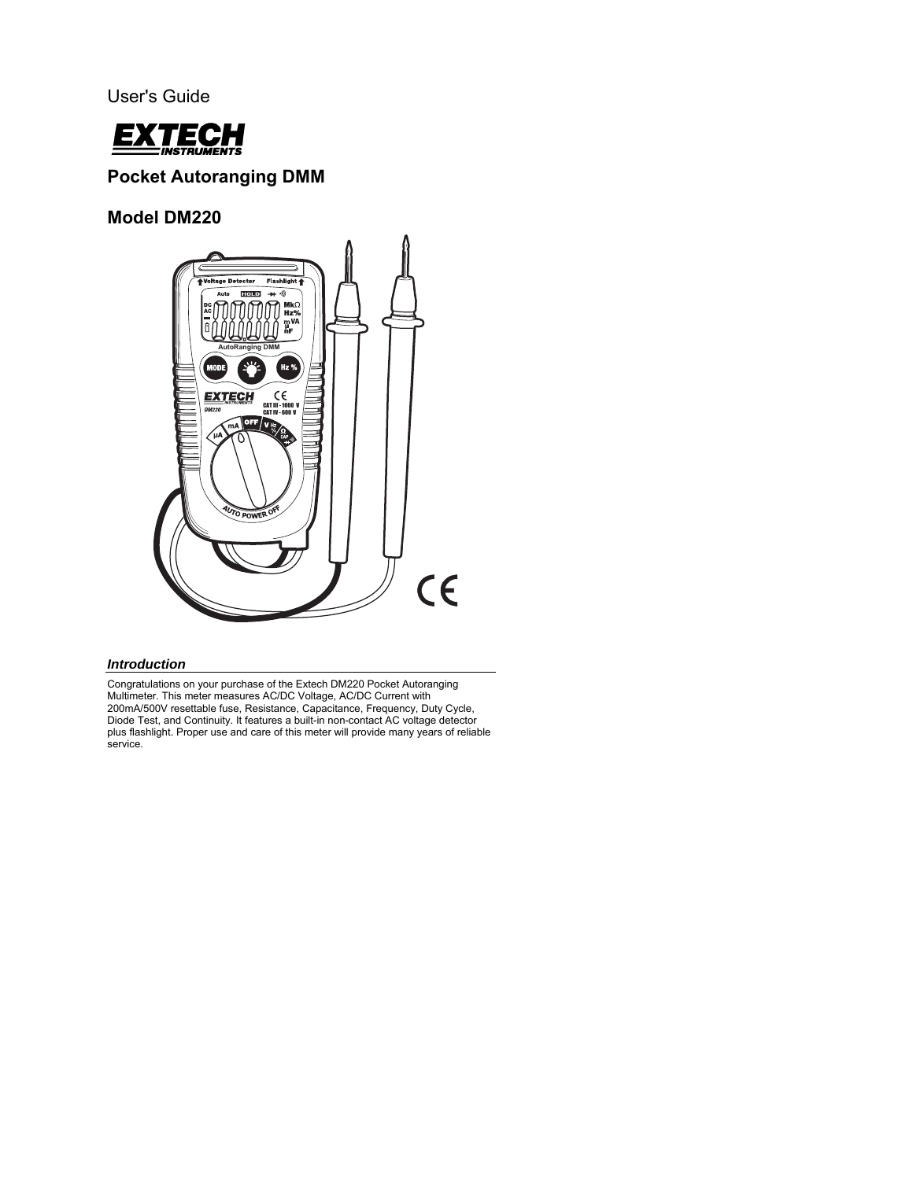User's Guide



# **Pocket Autoranging DMM**

**Model DM220** 



## *Introduction*

Congratulations on your purchase of the Extech DM220 Pocket Autoranging Multimeter. This meter measures AC/DC Voltage, AC/DC Current with 200mA/500V resettable fuse, Resistance, Capacitance, Frequency, Duty Cycle, Diode Test, and Continuity. It features a built-in non-contact AC voltage detector plus flashlight. Proper use and care of this meter will provide many years of reliable service.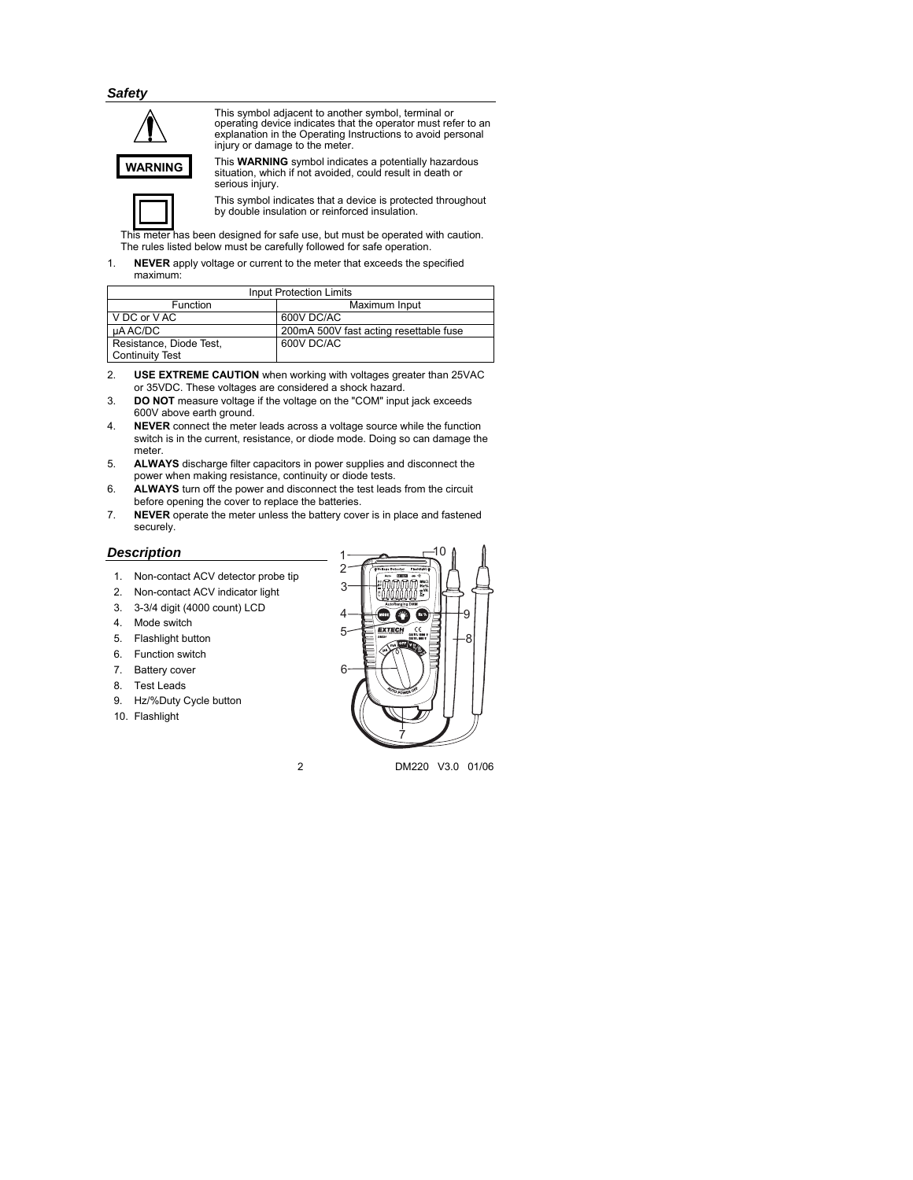*Safety* 



This symbol adjacent to another symbol, terminal or operating device indicates that the operator must refer to an explanation in the Operating Instructions to avoid personal injury or damage to the meter.

This **WARNING** symbol indicates a potentially hazardous situation, which if not avoided, could result in death or serious injury.



This symbol indicates that a device is protected throughout by double insulation or reinforced insulation.

This meter has been designed for safe use, but must be operated with caution. The rules listed below must be carefully followed for safe operation.

1. **NEVER** apply voltage or current to the meter that exceeds the specified maximum:

| <b>Input Protection Limits</b> |                                        |  |
|--------------------------------|----------------------------------------|--|
| <b>Function</b>                | Maximum Input                          |  |
| V DC or V AC                   | 600V DC/AC                             |  |
| uAAC/DC                        | 200mA 500V fast acting resettable fuse |  |
| Resistance, Diode Test,        | 600V DC/AC                             |  |
| <b>Continuity Test</b>         |                                        |  |

- 2. **USE EXTREME CAUTION** when working with voltages greater than 25VAC or 35VDC. These voltages are considered a shock hazard.
- 3. **DO NOT** measure voltage if the voltage on the "COM" input jack exceeds 600V above earth ground.
- 4. **NEVER** connect the meter leads across a voltage source while the function switch is in the current, resistance, or diode mode. Doing so can damage the meter.
- 5. **ALWAYS** discharge filter capacitors in power supplies and disconnect the power when making resistance, continuity or diode tests.
- 6. **ALWAYS** turn off the power and disconnect the test leads from the circuit before opening the cover to replace the batteries.
- 7. **NEVER** operate the meter unless the battery cover is in place and fastened securely.

### *Description*

- 1. Non-contact ACV detector probe tip
- 2. Non-contact ACV indicator light
- 3. 3-3/4 digit (4000 count) LCD
- 4. Mode switch
- 5. Flashlight button
- 6. Function switch
- 7. Battery cover
- 8. Test Leads
- 9. Hz/%Duty Cycle button
- 10. Flashlight



2 DM220 V3.0 01/06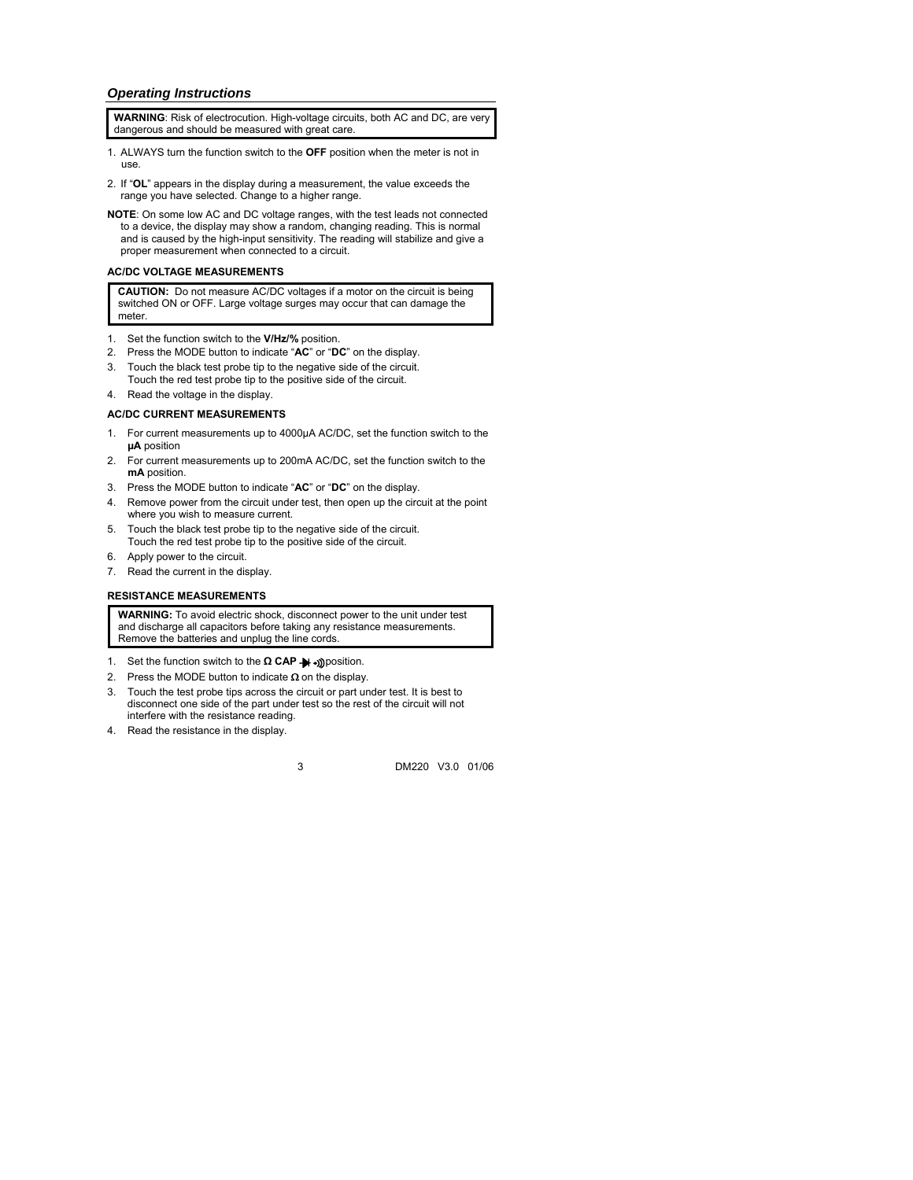### *Operating Instructions*

**WARNING**: Risk of electrocution. High-voltage circuits, both AC and DC, are very dangerous and should be measured with great care.

- 1. ALWAYS turn the function switch to the **OFF** position when the meter is not in use.
- 2. If "**OL**" appears in the display during a measurement, the value exceeds the range you have selected. Change to a higher range.
- **NOTE**: On some low AC and DC voltage ranges, with the test leads not connected to a device, the display may show a random, changing reading. This is normal and is caused by the high-input sensitivity. The reading will stabilize and give a proper measurement when connected to a circuit.

### **AC/DC VOLTAGE MEASUREMENTS**

**CAUTION:** Do not measure AC/DC voltages if a motor on the circuit is being switched ON or OFF. Large voltage surges may occur that can damage the meter.

- 1. Set the function switch to the **V/Hz/%** position.
- 2. Press the MODE button to indicate "**AC**" or "**DC**" on the display.
- 3. Touch the black test probe tip to the negative side of the circuit. Touch the red test probe tip to the positive side of the circuit.
- 4. Read the voltage in the display.

### **AC/DC CURRENT MEASUREMENTS**

- 1. For current measurements up to 4000µA AC/DC, set the function switch to the **µA** position
- 2. For current measurements up to 200mA AC/DC, set the function switch to the **mA** position.
- 3. Press the MODE button to indicate "**AC**" or "**DC**" on the display.
- 4. Remove power from the circuit under test, then open up the circuit at the point where you wish to measure current.
- 5. Touch the black test probe tip to the negative side of the circuit. Touch the red test probe tip to the positive side of the circuit.
- 6. Apply power to the circuit.
- 7. Read the current in the display.

### **RESISTANCE MEASUREMENTS**

**WARNING:** To avoid electric shock, disconnect power to the unit under test and discharge all capacitors before taking any resistance measurements. Remove the batteries and unplug the line cords.

- 1. Set the function switch to the **Ω CAP** → position.
- 2. Press the MODE button to indicate  $\Omega$  on the display.
- 3. Touch the test probe tips across the circuit or part under test. It is best to disconnect one side of the part under test so the rest of the circuit will not interfere with the resistance reading.
- 4. Read the resistance in the display.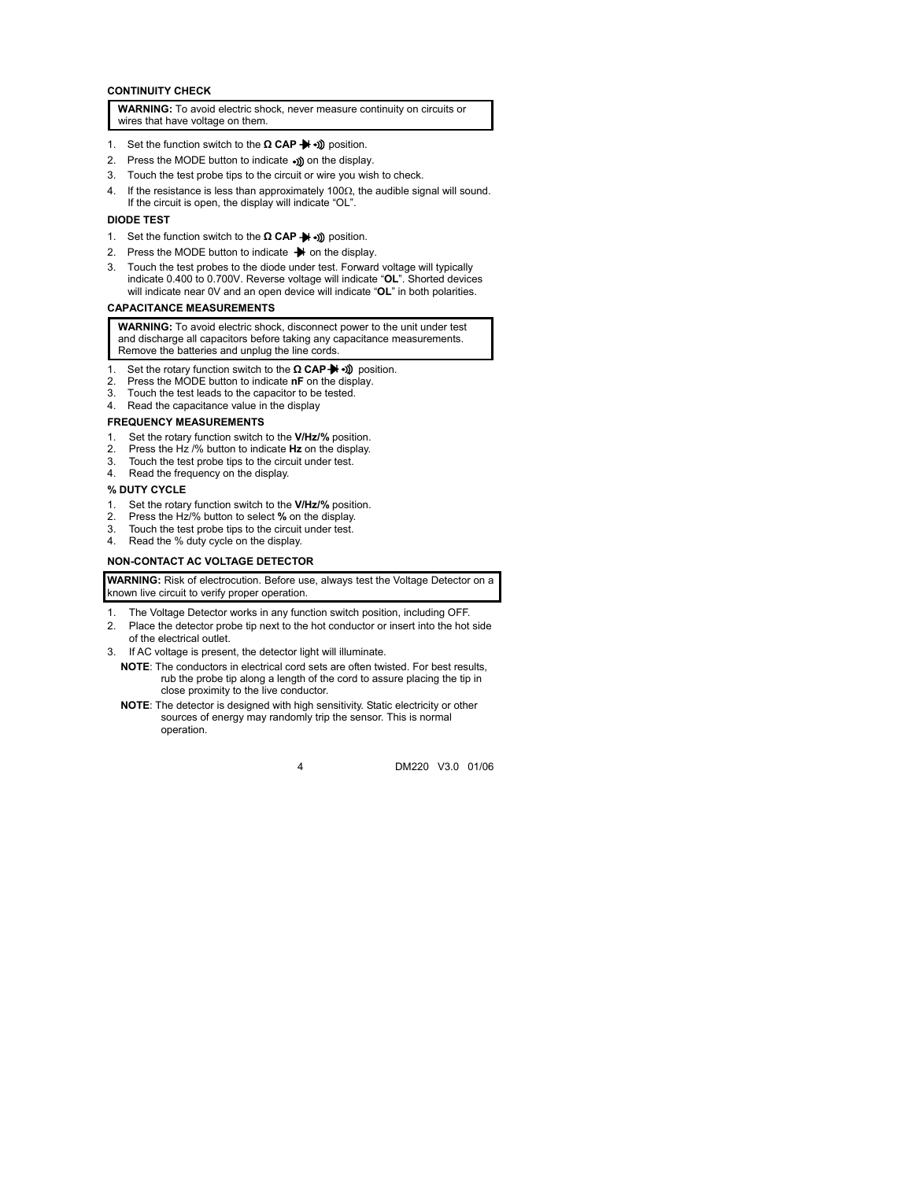### **CONTINUITY CHECK**

**WARNING:** To avoid electric shock, never measure continuity on circuits or wires that have voltage on them.

- 1. Set the function switch to the **Ω CAP →** → D position.
- 2. Press the MODE button to indicate .) on the display.
- 3. Touch the test probe tips to the circuit or wire you wish to check.
- 4. If the resistance is less than approximately 100Ω, the audible signal will sound. If the circuit is open, the display will indicate "OL".

#### **DIODE TEST**

- 1. Set the function switch to the **Ω** CAP → 1) position.
- 2. Press the MODE button to indicate  $\rightarrow$  on the display.
- 3. Touch the test probes to the diode under test. Forward voltage will typically indicate 0.400 to 0.700V. Reverse voltage will indicate "**OL**". Shorted devices will indicate near 0V and an open device will indicate "**OL**" in both polarities.

### **CAPACITANCE MEASUREMENTS**

**WARNING:** To avoid electric shock, disconnect power to the unit under test and discharge all capacitors before taking any capacitance measurements. Remove the batteries and unplug the line cords.

- 1. Set the rotary function switch to the **Ω** CAP → **i**) position.
- 2. Press the MODE button to indicate **nF** on the display.
- 3. Touch the test leads to the capacitor to be tested.
- 4. Read the capacitance value in the display

#### **FREQUENCY MEASUREMENTS**

- 1. Set the rotary function switch to the **V/Hz/%** position.
- 2. Press the Hz /% button to indicate **Hz** on the display.
- 3. Touch the test probe tips to the circuit under test.
- 4. Read the frequency on the display.

#### **% DUTY CYCLE**

- 1. Set the rotary function switch to the **V/Hz/%** position.
- 2. Press the Hz/% button to select **%** on the display.
- 3. Touch the test probe tips to the circuit under test.
- 4. Read the % duty cycle on the display.

#### **NON-CONTACT AC VOLTAGE DETECTOR**

**WARNING:** Risk of electrocution. Before use, always test the Voltage Detector on a known live circuit to verify proper operation.

- 1. The Voltage Detector works in any function switch position, including OFF.
- 2. Place the detector probe tip next to the hot conductor or insert into the hot side of the electrical outlet.
- 3. If AC voltage is present, the detector light will illuminate.
	- **NOTE**: The conductors in electrical cord sets are often twisted. For best results, rub the probe tip along a length of the cord to assure placing the tip in close proximity to the live conductor.
	- **NOTE**: The detector is designed with high sensitivity. Static electricity or other sources of energy may randomly trip the sensor. This is normal operation.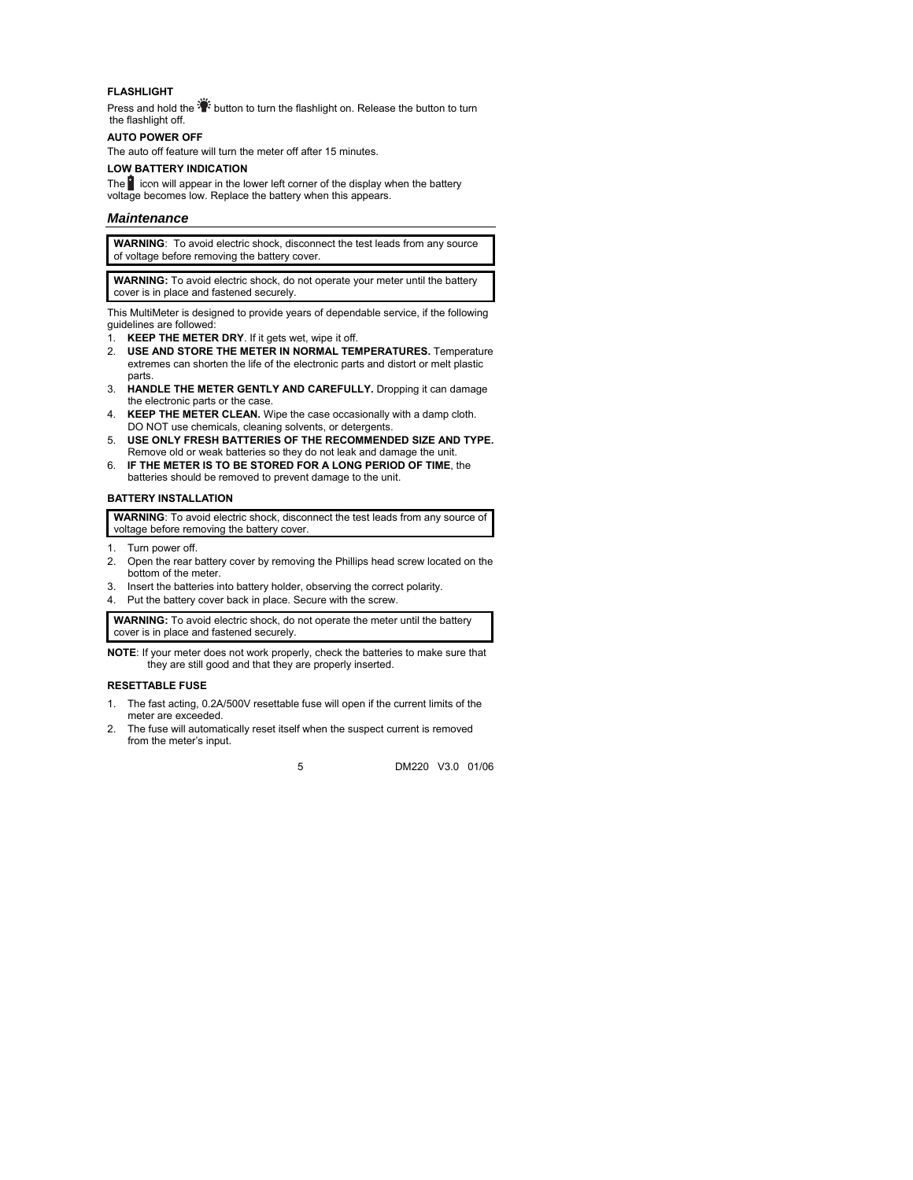### **FLASHLIGHT**

Press and hold the  $\mathbb{R}^2$  button to turn the flashlight on. Release the button to turn the flashlight off.

### **AUTO POWER OFF**

The auto off feature will turn the meter off after 15 minutes.

#### **LOW BATTERY INDICATION**

The  $\Box$  icon will appear in the lower left corner of the display when the battery voltage becomes low. Replace the battery when this appears.

### *Maintenance*

**WARNING**: To avoid electric shock, disconnect the test leads from any source of voltage before removing the battery cover.

**WARNING:** To avoid electric shock, do not operate your meter until the battery cover is in place and fastened securely.

This MultiMeter is designed to provide years of dependable service, if the following guidelines are followed:

- 1. **KEEP THE METER DRY**. If it gets wet, wipe it off.
- 2. **USE AND STORE THE METER IN NORMAL TEMPERATURES.** Temperature extremes can shorten the life of the electronic parts and distort or melt plastic parts.
- 3. **HANDLE THE METER GENTLY AND CAREFULLY.** Dropping it can damage the electronic parts or the case.
- 4. **KEEP THE METER CLEAN.** Wipe the case occasionally with a damp cloth. DO NOT use chemicals, cleaning solvents, or detergents.
- 5. **USE ONLY FRESH BATTERIES OF THE RECOMMENDED SIZE AND TYPE.**  Remove old or weak batteries so they do not leak and damage the unit.
- 6. **IF THE METER IS TO BE STORED FOR A LONG PERIOD OF TIME**, the batteries should be removed to prevent damage to the unit.

### **BATTERY INSTALLATION**

**WARNING**: To avoid electric shock, disconnect the test leads from any source of voltage before removing the battery cover.

- 1. Turn power off.
- 2. Open the rear battery cover by removing the Phillips head screw located on the bottom of the meter.
- 3. Insert the batteries into battery holder, observing the correct polarity.
- 4. Put the battery cover back in place. Secure with the screw.

**WARNING:** To avoid electric shock, do not operate the meter until the battery cover is in place and fastened securely.

**NOTE**: If your meter does not work properly, check the batteries to make sure that they are still good and that they are properly inserted.

### **RESETTABLE FUSE**

- 1. The fast acting, 0.2A/500V resettable fuse will open if the current limits of the meter are exceeded.
- 2. The fuse will automatically reset itself when the suspect current is removed from the meter's input.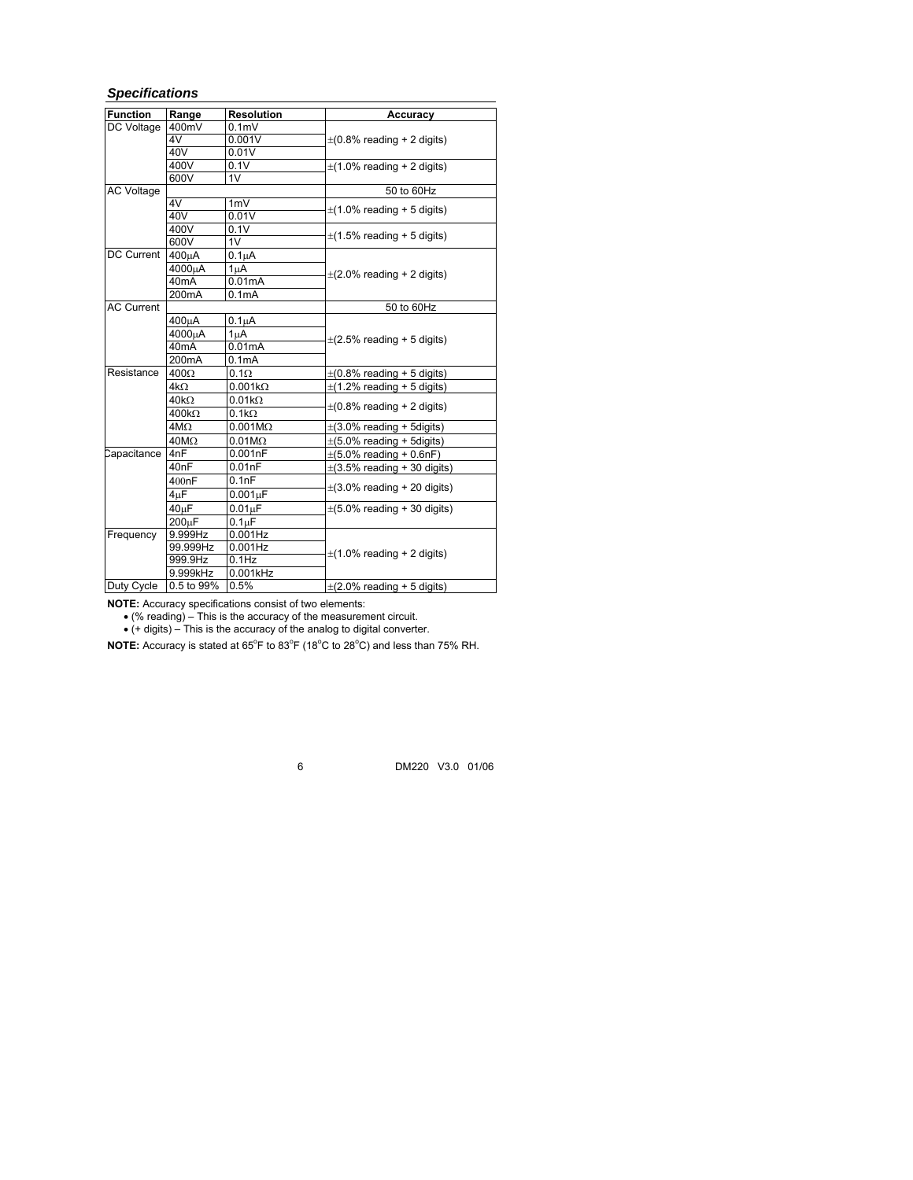## *Specifications*

| <b>Function</b>   | Range              | <b>Resolution</b>  | Accuracy                         |
|-------------------|--------------------|--------------------|----------------------------------|
| DC Voltage        | 400mV              | 0.1 <sub>m</sub>   |                                  |
|                   | 4V                 | 0.001V             | $\pm$ (0.8% reading + 2 digits)  |
|                   | 40V                | 0.01V              |                                  |
|                   | 400V               | 0.1V               | $\pm$ (1.0% reading + 2 digits)  |
|                   | 600V               | 1V                 |                                  |
| <b>AC Voltage</b> |                    |                    | 50 to 60Hz                       |
|                   | 4V                 | 1mV                | $\pm$ (1.0% reading + 5 digits)  |
|                   | 40V                | 0.01V              |                                  |
|                   | 400V               | 0.1V               | $\pm$ (1.5% reading + 5 digits)  |
|                   | 600V               | 1V                 |                                  |
| DC Current        | 400uA              | $0.1\muA$          |                                  |
|                   | 4000µA             | 1µA                | $\pm$ (2.0% reading + 2 digits)  |
|                   | 40 <sub>m</sub> A  | 0.01mA             |                                  |
|                   | 200mA              | 0.1mA              |                                  |
| <b>AC Current</b> |                    |                    | 50 to 60Hz                       |
|                   | 400μA              | $0.1\mu A$         |                                  |
|                   | 4000uA             | 1 <sub>u</sub> A   |                                  |
|                   | 40 <sub>m</sub> A  | 0.01mA             | $\pm$ (2.5% reading + 5 digits)  |
|                   | 200 <sub>m</sub> A | 0.1 <sub>m</sub> A |                                  |
| Resistance        | $400\Omega$        | $0.1\Omega$        | $\pm$ (0.8% reading + 5 digits)  |
|                   | $4k\Omega$         | $0.001k\Omega$     | $\pm$ (1.2% reading + 5 digits)  |
|                   | $40k\Omega$        | $0.01k\Omega$      |                                  |
|                   | $400k\Omega$       | $0.1k\Omega$       | $\pm$ (0.8% reading + 2 digits)  |
|                   | $4M\Omega$         | $0.001M\Omega$     | $\pm$ (3.0% reading + 5 digits)  |
|                   | $40M\Omega$        | $0.01M\Omega$      | $\pm$ (5.0% reading + 5digits)   |
| Capacitance       | 4nF                | 0.001nF            | $\pm(5.0\%$ reading + 0.6nF)     |
|                   | 40 <sub>nF</sub>   | 0.01nF             | $\pm$ (3.5% reading + 30 digits) |
|                   | 400nF              | 0.1nF              |                                  |
|                   | 4 <sub>µ</sub> F   | $0.001\mu F$       | $\pm$ (3.0% reading + 20 digits) |
|                   | $40\mu F$          | $0.01 \mu F$       | $\pm$ (5.0% reading + 30 digits) |
|                   | 200 <sub>LF</sub>  | 0.1 <sub>µ</sub> F |                                  |
| Frequency         | 9.999Hz            | $0.001$ Hz         |                                  |
|                   | 99.999Hz           | 0.001Hz            | $\pm$ (1.0% reading + 2 digits)  |
|                   | 999.9Hz            | $0.1$ Hz           |                                  |
|                   | 9.999kHz           | 0.001kHz           |                                  |
| Duty Cycle        | 0.5 to 99%         | 0.5%               | $\pm$ (2.0% reading + 5 digits)  |

**NOTE:** Accuracy specifications consist of two elements:

• (% reading) – This is the accuracy of the measurement circuit.

• (+ digits) – This is the accuracy of the analog to digital converter.

NOTE: Accuracy is stated at 65<sup>°</sup>F to 83<sup>°</sup>F (18<sup>°</sup>C to 28<sup>°</sup>C) and less than 75% RH.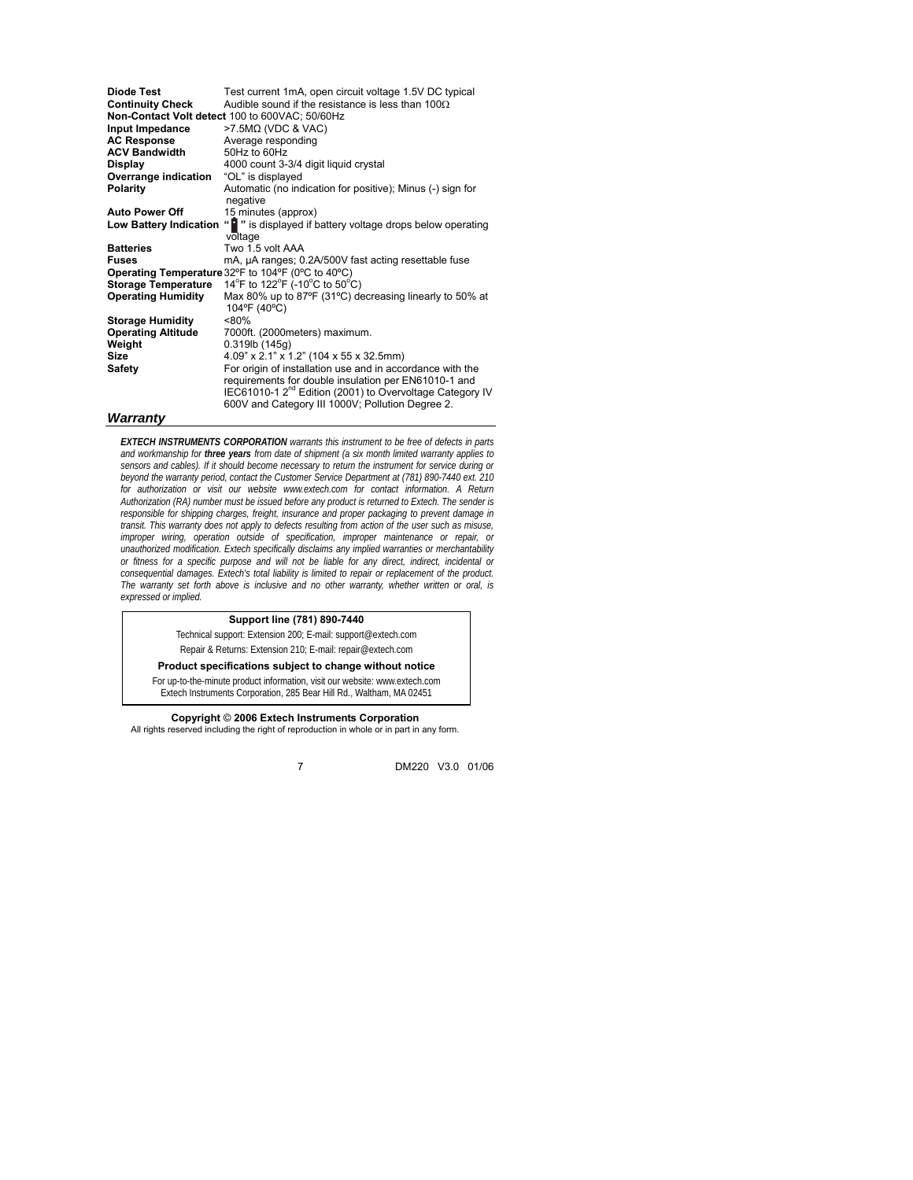| Diode Test                 | Test current 1mA, open circuit voltage 1.5V DC typical                            |  |
|----------------------------|-----------------------------------------------------------------------------------|--|
| <b>Continuity Check</b>    | Audible sound if the resistance is less than 100 $\Omega$                         |  |
|                            | Non-Contact Volt detect 100 to 600VAC; 50/60Hz                                    |  |
| Input Impedance            | $>7.5M\Omega$ (VDC & VAC)                                                         |  |
| <b>AC Response</b>         | Average responding                                                                |  |
| <b>ACV Bandwidth</b>       | 50Hz to 60Hz                                                                      |  |
| <b>Display</b>             | 4000 count 3-3/4 digit liquid crystal                                             |  |
| Overrange indication       | "OL" is displayed                                                                 |  |
| Polarity                   | Automatic (no indication for positive); Minus (-) sign for                        |  |
|                            | negative                                                                          |  |
| <b>Auto Power Off</b>      | 15 minutes (approx)                                                               |  |
| Low Battery Indication     | " is displayed if battery voltage drops below operating                           |  |
|                            | voltage                                                                           |  |
| <b>Batteries</b>           | Two 1.5 volt AAA                                                                  |  |
| <b>Fuses</b>               | mA, µA ranges; 0.2A/500V fast acting resettable fuse                              |  |
|                            | Operating Temperature 32°F to 104°F (0°C to 40°C)                                 |  |
| <b>Storage Temperature</b> | 14 <sup>°</sup> F to 122 <sup>°</sup> F (-10 <sup>°</sup> C to 50 <sup>°</sup> C) |  |
| <b>Operating Humidity</b>  | Max 80% up to 87°F (31°C) decreasing linearly to 50% at                           |  |
|                            | 104°F (40°C)                                                                      |  |
| <b>Storage Humidity</b>    | $< 80\%$                                                                          |  |
| <b>Operating Altitude</b>  | 7000ft. (2000meters) maximum.                                                     |  |
| Weight                     | $0.319$ lb (145q)                                                                 |  |
| <b>Size</b>                | 4.09" x 2.1" x 1.2" (104 x 55 x 32.5mm)                                           |  |
| <b>Safety</b>              | For origin of installation use and in accordance with the                         |  |
|                            | requirements for double insulation per EN61010-1 and                              |  |
|                            | IEC61010-1 2 <sup>nd</sup> Edition (2001) to Overvoltage Category IV              |  |
|                            | 600V and Category III 1000V; Pollution Degree 2.                                  |  |
|                            |                                                                                   |  |

#### *Warranty*

*EXTECH INSTRUMENTS CORPORATION warrants this instrument to be free of defects in parts and workmanship for three years from date of shipment (a six month limited warranty applies to sensors and cables). If it should become necessary to return the instrument for service during or beyond the warranty period, contact the Customer Service Department at (781) 890-7440 ext. 210 for authorization or visit our website www.extech.com for contact information. A Return Authorization (RA) number must be issued before any product is returned to Extech. The sender is responsible for shipping charges, freight, insurance and proper packaging to prevent damage in transit. This warranty does not apply to defects resulting from action of the user such as misuse, improper wiring, operation outside of specification, improper maintenance or repair, or unauthorized modification. Extech specifically disclaims any implied warranties or merchantability or fitness for a specific purpose and will not be liable for any direct, indirect, incidental or consequential damages. Extech's total liability is limited to repair or replacement of the product. The warranty set forth above is inclusive and no other warranty, whether written or oral, is expressed or implied.* 

#### **Support line (781) 890-7440**

Technical support: Extension 200; E-mail: support@extech.com Repair & Returns: Extension 210; E-mail: repair@extech.com

### **Product specifications subject to change without notice**

For up-to-the-minute product information, visit our website: www.extech.com Extech Instruments Corporation, 285 Bear Hill Rd., Waltham, MA 02451

**Copyright** © **2006 Extech Instruments Corporation**  All rights reserved including the right of reproduction in whole or in part in any form.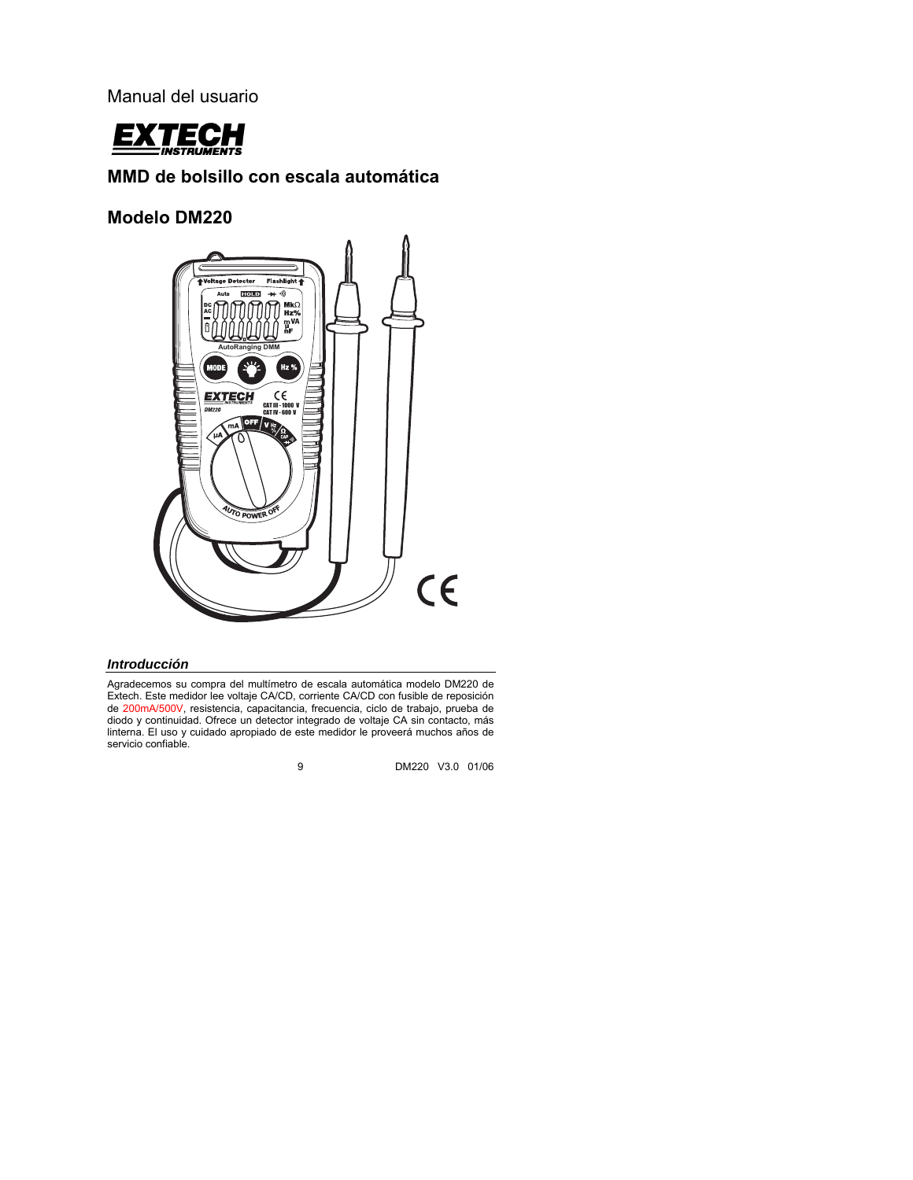Manual del usuario



## **MMD de bolsillo con escala automática**

**Modelo DM220** 



### *Introducción*

Agradecemos su compra del multímetro de escala automática modelo DM220 de Extech. Este medidor lee voltaje CA/CD, corriente CA/CD con fusible de reposición de 200mA/500V, resistencia, capacitancia, frecuencia, ciclo de trabajo, prueba de diodo y continuidad. Ofrece un detector integrado de voltaje CA sin contacto, más linterna. El uso y cuidado apropiado de este medidor le proveerá muchos años de servicio confiable.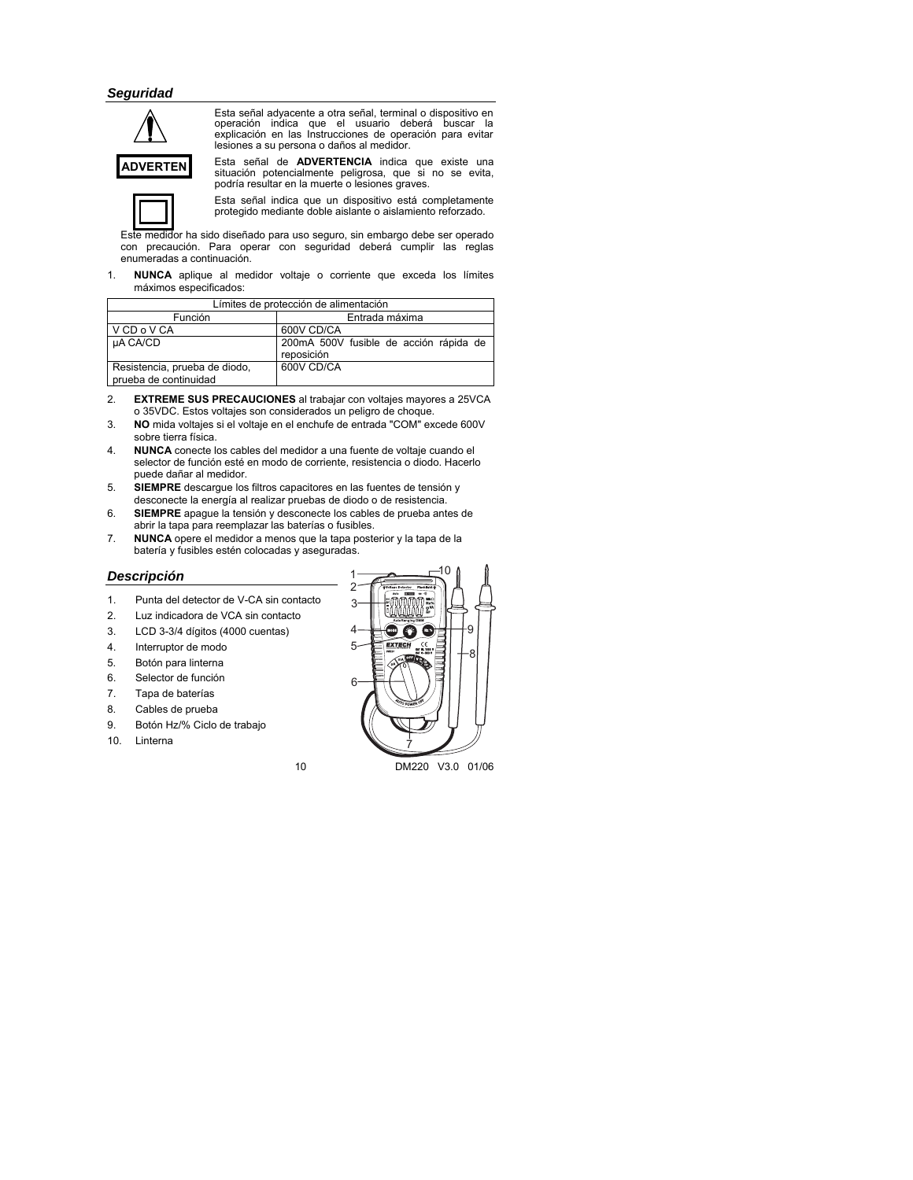### *Seguridad*



Esta señal adyacente a otra señal, terminal o dispositivo en operación indica que el usuario deberá buscar la explicación en las Instrucciones de operación para evitar lesiones a su persona o daños al medidor.

Esta señal de **ADVERTENCIA** indica que existe una situación potencialmente peligrosa, que si no se evita, podría resultar en la muerte o lesiones graves.



Esta señal indica que un dispositivo está completamente protegido mediante doble aislante o aislamiento reforzado.

Este medidor ha sido diseñado para uso seguro, sin embargo debe ser operado con precaución. Para operar con seguridad deberá cumplir las reglas enumeradas a continuación.

1. **NUNCA** aplique al medidor voltaje o corriente que exceda los límites máximos especificados:

| Límites de protección de alimentación                  |                                         |  |  |
|--------------------------------------------------------|-----------------------------------------|--|--|
| Función                                                | Entrada máxima                          |  |  |
| V CD o V CA                                            | 600V CD/CA                              |  |  |
| µA CA/CD                                               | 200 mA 500V fusible de acción rápida de |  |  |
|                                                        | reposición                              |  |  |
| Resistencia, prueba de diodo,<br>prueba de continuidad | 600V CD/CA                              |  |  |
|                                                        |                                         |  |  |

- 2. **EXTREME SUS PRECAUCIONES** al trabajar con voltajes mayores a 25VCA o 35VDC. Estos voltajes son considerados un peligro de choque.
- 3. **NO** mida voltajes si el voltaje en el enchufe de entrada "COM" excede 600V sobre tierra física.
- 4. **NUNCA** conecte los cables del medidor a una fuente de voltaje cuando el selector de función esté en modo de corriente, resistencia o diodo. Hacerlo puede dañar al medidor.
- 5. **SIEMPRE** descargue los filtros capacitores en las fuentes de tensión y desconecte la energía al realizar pruebas de diodo o de resistencia.
- 6. **SIEMPRE** apague la tensión y desconecte los cables de prueba antes de abrir la tapa para reemplazar las baterías o fusibles.
- 7. **NUNCA** opere el medidor a menos que la tapa posterior y la tapa de la batería y fusibles estén colocadas y aseguradas.

### *Descripción*

- 1. Punta del detector de V-CA sin contacto
- 2. Luz indicadora de VCA sin contacto
- 3. LCD 3-3/4 dígitos (4000 cuentas)
- 4. Interruptor de modo
- 5. Botón para linterna
- 6. Selector de función
- 7. Tapa de baterías
- 8. Cables de prueba
- 9. Botón Hz/% Ciclo de trabajo
- 10. Linterna



10 DM220 V3.0 01/06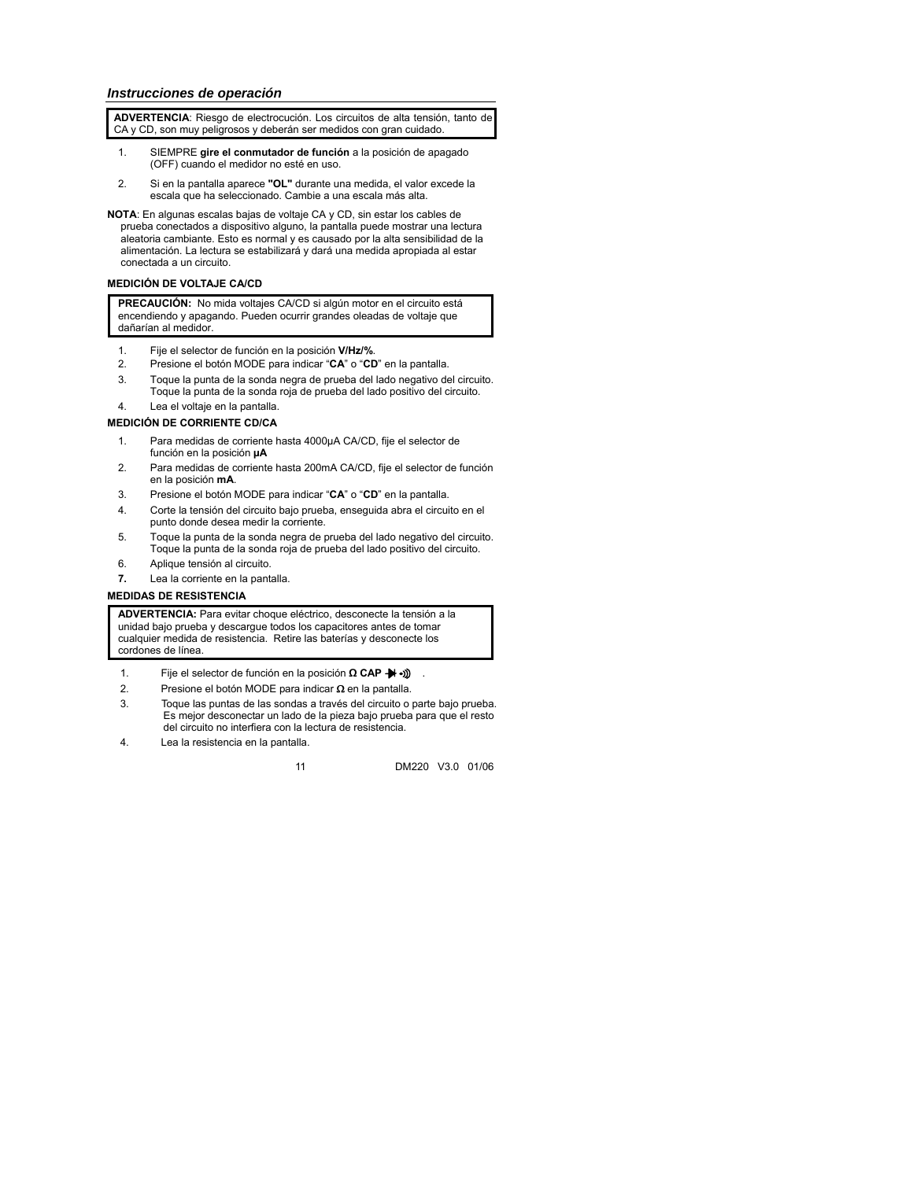**ADVERTENCIA**: Riesgo de electrocución. Los circuitos de alta tensión, tanto de CA y CD, son muy peligrosos y deberán ser medidos con gran cuidado.

- 1. SIEMPRE **gire el conmutador de función** a la posición de apagado (OFF) cuando el medidor no esté en uso.
- 2. Si en la pantalla aparece **"OL"** durante una medida, el valor excede la escala que ha seleccionado. Cambie a una escala más alta.
- **NOTA**: En algunas escalas bajas de voltaje CA y CD, sin estar los cables de prueba conectados a dispositivo alguno, la pantalla puede mostrar una lectura aleatoria cambiante. Esto es normal y es causado por la alta sensibilidad de la alimentación. La lectura se estabilizará y dará una medida apropiada al estar conectada a un circuito.

### **MEDICIÓN DE VOLTAJE CA/CD**

**PRECAUCIÓN:** No mida voltajes CA/CD si algún motor en el circuito está encendiendo y apagando. Pueden ocurrir grandes oleadas de voltaje que dañarían al medidor.

- 1. Fije el selector de función en la posición **V/Hz/%**.
- 2. Presione el botón MODE para indicar "**CA**" o "**CD**" en la pantalla.
- 3. Toque la punta de la sonda negra de prueba del lado negativo del circuito. Toque la punta de la sonda roja de prueba del lado positivo del circuito.
- 4. Lea el voltaje en la pantalla.

### **MEDICIÓN DE CORRIENTE CD/CA**

- 1. Para medidas de corriente hasta 4000µA CA/CD, fije el selector de función en la posición **µA**
- 2. Para medidas de corriente hasta 200mA CA/CD, fije el selector de función en la posición **mA**.
- 3. Presione el botón MODE para indicar "**CA**" o "**CD**" en la pantalla.
- 4. Corte la tensión del circuito bajo prueba, enseguida abra el circuito en el punto donde desea medir la corriente.
- 5. Toque la punta de la sonda negra de prueba del lado negativo del circuito. Toque la punta de la sonda roja de prueba del lado positivo del circuito.
- 6. Aplique tensión al circuito.
- **7.** Lea la corriente en la pantalla.

### **MEDIDAS DE RESISTENCIA**

**ADVERTENCIA:** Para evitar choque eléctrico, desconecte la tensión a la unidad bajo prueba y descargue todos los capacitores antes de tomar cualquier medida de resistencia. Retire las baterías y desconecte los cordones de línea.

- 1. Fije el selector de función en la posición **Ω CAP -** ...)
- 2. Presione el botón MODE para indicar Ω en la pantalla.
- 3. Toque las puntas de las sondas a través del circuito o parte bajo prueba. Es mejor desconectar un lado de la pieza bajo prueba para que el resto del circuito no interfiera con la lectura de resistencia.
- 4. Lea la resistencia en la pantalla.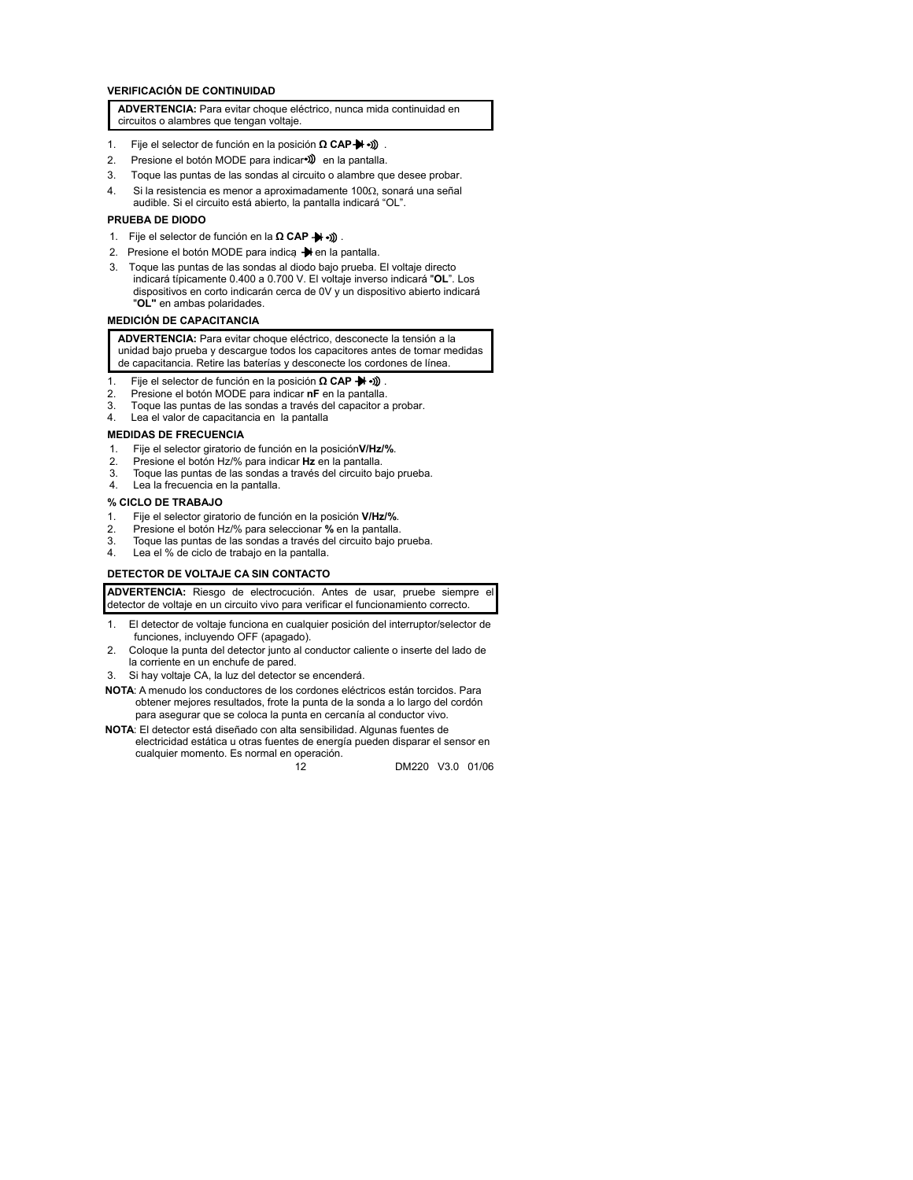### **VERIFICACIÓN DE CONTINUIDAD**

**ADVERTENCIA:** Para evitar choque eléctrico, nunca mida continuidad en circuitos o alambres que tengan voltaje.

- 1. Fije el selector de función en la posición **Ω CAP → ·**)).
- 2. Presione el botón MODE para indicar<sup>e)</sup> en la pantalla.
- 3. Toque las puntas de las sondas al circuito o alambre que desee probar.
- 4. Si la resistencia es menor a aproximadamente 100Ω, sonará una señal audible. Si el circuito está abierto, la pantalla indicará "OL".

#### **PRUEBA DE DIODO**

- 1. Fije el selector de función en la **Ω CAP :** (((• + + +))
- 2. Presione el botón MODE para indica  $\rightarrow$  en la pantalla.
- 3. Toque las puntas de las sondas al diodo bajo prueba. El voltaje directo indicará típicamente 0.400 a 0.700 V. El voltaje inverso indicará "**OL**". Los dispositivos en corto indicarán cerca de 0V y un dispositivo abierto indicará "**OL"** en ambas polaridades.

### **MEDICIÓN DE CAPACITANCIA**

**ADVERTENCIA:** Para evitar choque eléctrico, desconecte la tensión a la unidad bajo prueba y descargue todos los capacitores antes de tomar medidas de capacitancia. Retire las baterías y desconecte los cordones de línea.

- 1. Fije el selector de función en la posición **Ω CAP →** .)).<br>2. Presione el botón MODE para indicar **nF** en la pantalla.
- 2. Presione el botón MODE para indicar **nF** en la pantalla.
- 3. Toque las puntas de las sondas a través del capacitor a probar.<br>4. Lea el valor de capacitancia en la pantalla
- Lea el valor de capacitancia en la pantalla

### **MEDIDAS DE FRECUENCIA**

- 1. Fije el selector giratorio de función en la posición**V/Hz/%**.
- 2. Presione el botón Hz/% para indicar **Hz** en la pantalla.
- Toque las puntas de las sondas a través del circuito bajo prueba.
- 4. Lea la frecuencia en la pantalla.

#### **% CICLO DE TRABAJO**

- 1. Fije el selector giratorio de función en la posición **V/Hz/%**.
- 2. Presione el botón Hz/% para seleccionar **%** en la pantalla.
- Toque las puntas de las sondas a través del circuito bajo prueba.
- 4. Lea el % de ciclo de trabajo en la pantalla.

### **DETECTOR DE VOLTAJE CA SIN CONTACTO**

**ADVERTENCIA:** Riesgo de electrocución. Antes de usar, pruebe siempre el detector de voltaje en un circuito vivo para verificar el funcionamiento correcto.

- 1. El detector de voltaje funciona en cualquier posición del interruptor/selector de funciones, incluyendo OFF (apagado).
- 2. Coloque la punta del detector junto al conductor caliente o inserte del lado de la corriente en un enchufe de pared.
- 3. Si hay voltaje CA, la luz del detector se encenderá.
- **NOTA**: A menudo los conductores de los cordones eléctricos están torcidos. Para obtener mejores resultados, frote la punta de la sonda a lo largo del cordón para asegurar que se coloca la punta en cercanía al conductor vivo.
- **NOTA**: El detector está diseñado con alta sensibilidad. Algunas fuentes de electricidad estática u otras fuentes de energía pueden disparar el sensor en cualquier momento. Es normal en operación.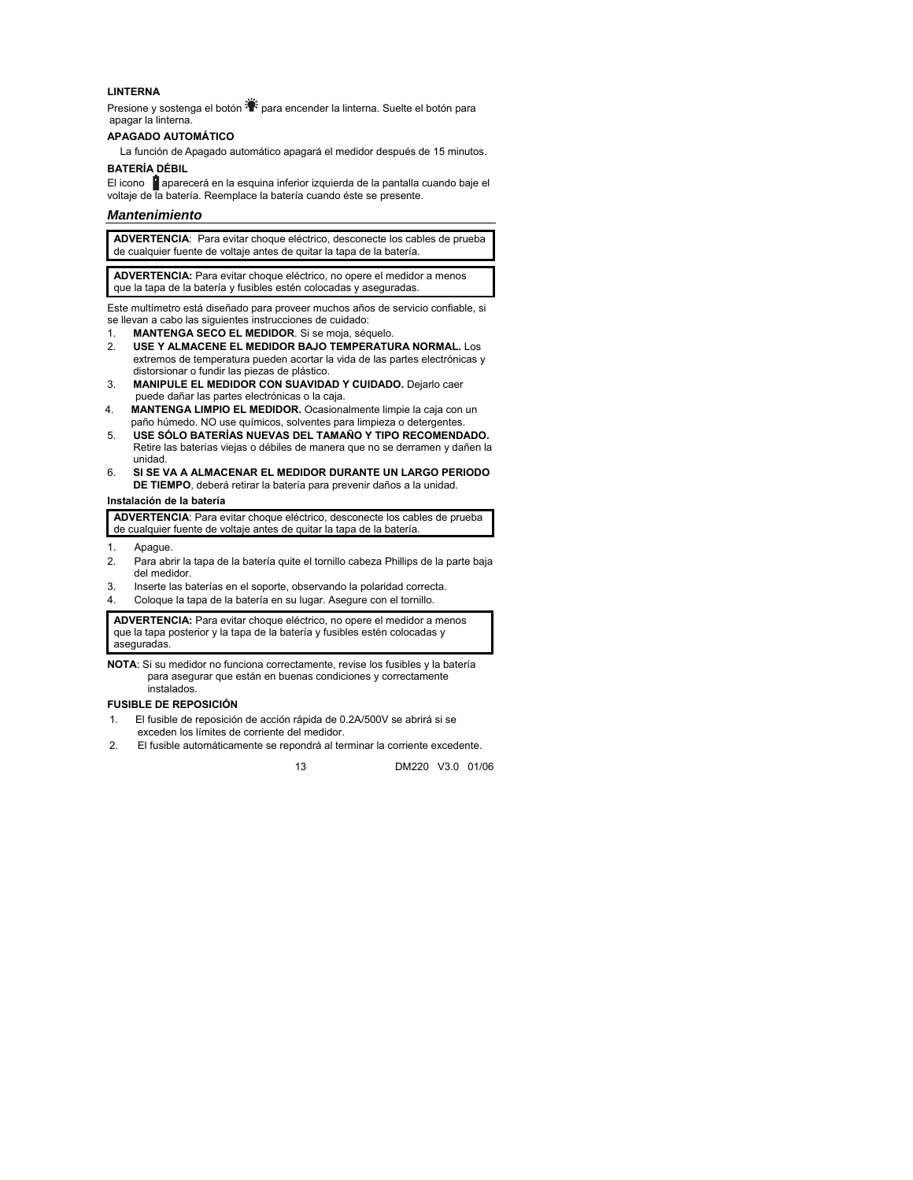#### **LINTERNA**

Presione y sostenga el botón  $\ddot{=}$  para encender la linterna. Suelte el botón para apagar la linterna.

### **APAGADO AUTOMÁTICO**

La función de Apagado automático apagará el medidor después de 15 minutos.

### **BATERÍA DÉBIL**

El icono **a** aparecerá en la esquina inferior izquierda de la pantalla cuando baje el voltaje de la batería. Reemplace la batería cuando éste se presente.

### *Mantenimiento*

**ADVERTENCIA**: Para evitar choque eléctrico, desconecte los cables de prueba de cualquier fuente de voltaje antes de quitar la tapa de la batería.

**ADVERTENCIA:** Para evitar choque eléctrico, no opere el medidor a menos que la tapa de la batería y fusibles estén colocadas y aseguradas.

Este multímetro está diseñado para proveer muchos años de servicio confiable, si se llevan a cabo las siguientes instrucciones de cuidado:

- 1. **MANTENGA SECO EL MEDIDOR**. Si se moja, séquelo.
- 2. **USE Y ALMACENE EL MEDIDOR BAJO TEMPERATURA NORMAL.** Los extremos de temperatura pueden acortar la vida de las partes electrónicas y distorsionar o fundir las piezas de plástico.
- 3. **MANIPULE EL MEDIDOR CON SUAVIDAD Y CUIDADO.** Dejarlo caer puede dañar las partes electrónicas o la caja.
- 4. **MANTENGA LIMPIO EL MEDIDOR.** Ocasionalmente limpie la caja con un paño húmedo. NO use químicos, solventes para limpieza o detergentes.
- 5. **USE SÓLO BATERÍAS NUEVAS DEL TAMAÑO Y TIPO RECOMENDADO.**  Retire las baterías viejas o débiles de manera que no se derramen y dañen la unidad.
- 6. **SI SE VA A ALMACENAR EL MEDIDOR DURANTE UN LARGO PERIODO DE TIEMPO**, deberá retirar la batería para prevenir daños a la unidad.

#### **Instalación de la batería**

**ADVERTENCIA**: Para evitar choque eléctrico, desconecte los cables de prueba de cualquier fuente de voltaje antes de quitar la tapa de la batería.

- 1. Apague.
- 2. Para abrir la tapa de la batería quite el tornillo cabeza Phillips de la parte baja del medidor.
- 3. Inserte las baterías en el soporte, observando la polaridad correcta.
- 4. Coloque la tapa de la batería en su lugar. Asegure con el tornillo.

**ADVERTENCIA:** Para evitar choque eléctrico, no opere el medidor a menos que la tapa posterior y la tapa de la batería y fusibles estén colocadas y aseguradas.

**NOTA**: Si su medidor no funciona correctamente, revise los fusibles y la batería para asegurar que están en buenas condiciones y correctamente instalados.

#### **FUSIBLE DE REPOSICIÓN**

- 1. El fusible de reposición de acción rápida de 0.2A/500V se abrirá si se exceden los límites de corriente del medidor.
- 2. El fusible automáticamente se repondrá al terminar la corriente excedente.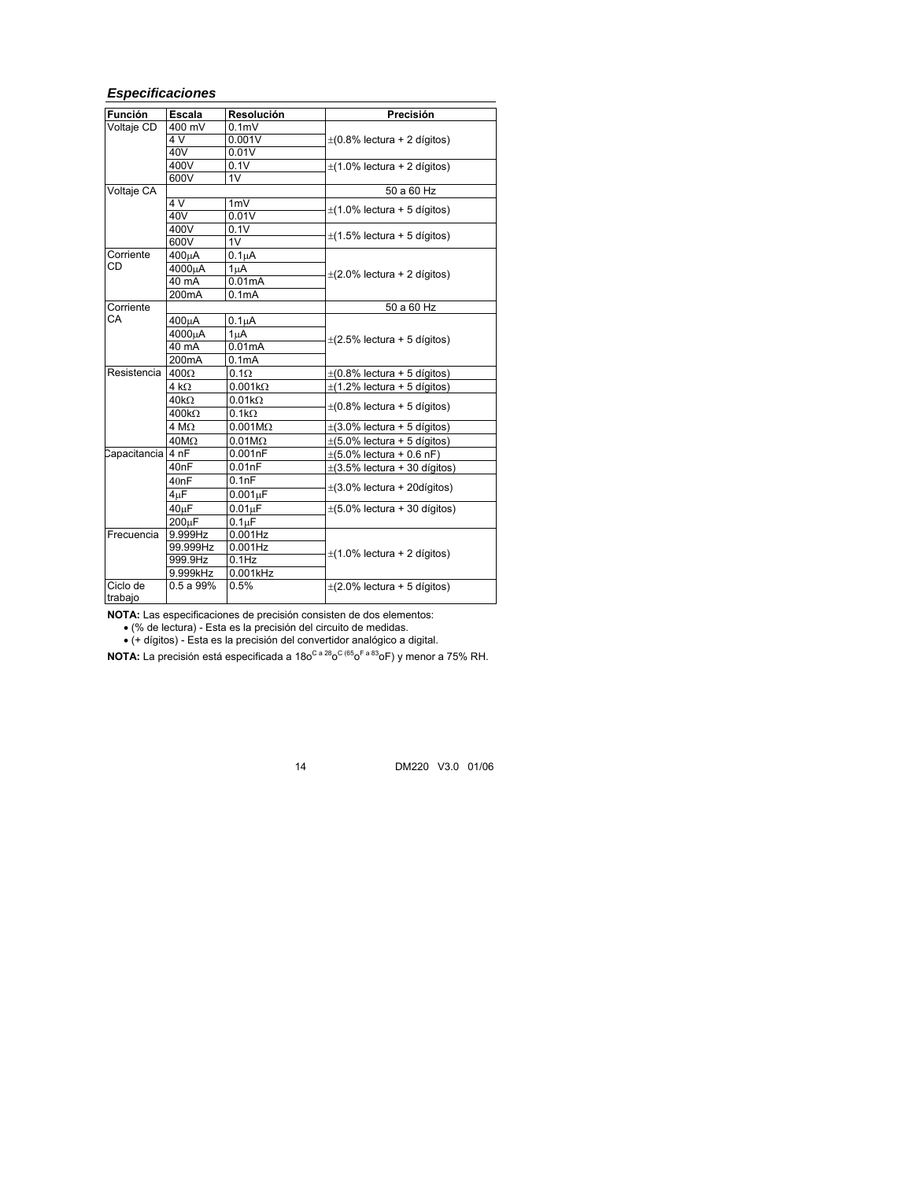## *Especificaciones*

| <b>Función</b>      | Escala                    | Resolución          | Precisión                         |
|---------------------|---------------------------|---------------------|-----------------------------------|
| Voltaje CD          | 400 mV                    | 0.1 <sub>m</sub>    |                                   |
|                     | 4 V                       | 0.001V              | $\pm$ (0.8% lectura + 2 dígitos)  |
|                     | 40V                       | 0.01V               |                                   |
|                     | 400V                      | 0.1V                | $\pm$ (1.0% lectura + 2 dígitos)  |
|                     | 600V                      | 1V                  |                                   |
| Voltaje CA          |                           |                     | 50 a 60 Hz                        |
|                     | 4V                        | 1mV                 | $\pm$ (1.0% lectura + 5 dígitos)  |
|                     | 40V                       | 0.01V               |                                   |
|                     | 400V                      | 0.1V                | $\pm$ (1.5% lectura + 5 dígitos)  |
|                     | 600V                      | 1V                  |                                   |
| Corriente           | 400uA                     | $0.1\muA$           |                                   |
| CD                  | 4000µA                    | 1 <sub>u</sub> A    | $\pm$ (2.0% lectura + 2 dígitos)  |
|                     | 40 mA                     | 0.01mA              |                                   |
|                     | 200mA                     | 0.1 <sub>m</sub> A  |                                   |
| Corriente           |                           |                     | 50 a 60 Hz                        |
| CA                  | 400uA                     | $0.1\muA$           |                                   |
|                     | 4000uA                    | 1 <sub>u</sub> A    |                                   |
|                     | 40 mA                     | 0.01mA              | $\pm$ (2.5% lectura + 5 dígitos)  |
|                     | 200 <sub>m</sub> A        | 0.1 <sub>m</sub> A  |                                   |
| <b>Resistencia</b>  | $400\Omega$               | $0.1\Omega$         | $\pm$ (0.8% lectura + 5 dígitos)  |
|                     | $4 k\Omega$               | $0.001k\Omega$      | $\pm$ (1.2% lectura + 5 dígitos)  |
|                     | $40k\Omega$               | $0.01k\Omega$       |                                   |
|                     | $400k\Omega$              | $0.1k\Omega$        | $\pm$ (0.8% lectura + 5 dígitos)  |
|                     | $\overline{4}$ M $\Omega$ | $0.001M\Omega$      | $\pm$ (3.0% lectura + 5 dígitos)  |
|                     | $40M\Omega$               | $0.01M\Omega$       | $\pm$ (5.0% lectura + 5 dígitos)  |
| Capacitancia 4 nF   |                           | 0.001nF             | $\pm(5.0\%$ lectura + 0.6 nF)     |
|                     | 40 <sub>nF</sub>          | 0.01nF              | $\pm$ (3.5% lectura + 30 dígitos) |
|                     | 40nF                      | 0.1nF               |                                   |
|                     | $4\mu$ F                  | $0.001\mu F$        | $\pm$ (3.0% lectura + 20dígitos)  |
|                     | $40\mu F$                 | 0.01 <sub>µ</sub> F | $\pm$ (5.0% lectura + 30 dígitos) |
|                     | $200 \mu F$               | 0.1 <sub>µ</sub> F  |                                   |
| Frecuencia          | 9.999Hz                   | $0.001$ Hz          |                                   |
|                     | 99.999Hz                  | $0.001$ Hz          |                                   |
|                     | 999.9Hz                   | $0.1$ Hz            | $\pm$ (1.0% lectura + 2 dígitos)  |
|                     | 9.999kHz                  | 0.001kHz            |                                   |
| Ciclo de<br>trabajo | 0.5a99%                   | 0.5%                | $\pm$ (2.0% lectura + 5 dígitos)  |

**NOTA:** Las especificaciones de precisión consisten de dos elementos:

• (% de lectura) - Esta es la precisión del circuito de medidas.

• (+ dígitos) - Esta es la precisión del convertidor analógico a digital.

**NOTA:** La precisión está especificada a 180<sup>C a 28</sup>0<sup>C (65</sup>0<sup>F a 83</sup>0F) y menor a 75% RH.